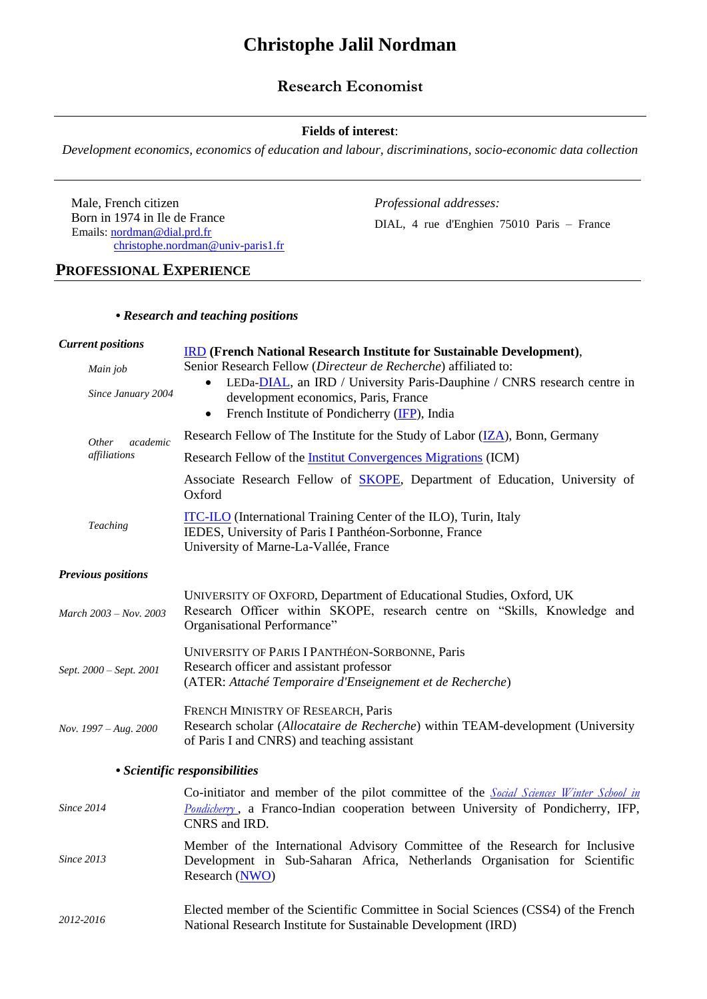# **Christophe Jalil Nordman**

### **Research Economist**

#### **Fields of interest**:

*Development economics, economics of education and labour, discriminations, socio-economic data collection*

| Male, French citizen                                              | <i>Professional addresses:</i>             |
|-------------------------------------------------------------------|--------------------------------------------|
| Born in 1974 in Ile de France<br>Emails: $\text{normal@dial.pdf}$ | DIAL, 4 rue d'Enghien 75010 Paris – France |
| $christophe.nordman@univ-paris1.fr$<br>DAEEGGIAM I EVREDIEMAE     |                                            |

### **PROFESSIONAL EXPERIENCE**

#### **•** *Research and teaching positions*

| <b>Current positions</b>          | <b>IRD</b> (French National Research Institute for Sustainable Development),                                                                                                                                                      |  |
|-----------------------------------|-----------------------------------------------------------------------------------------------------------------------------------------------------------------------------------------------------------------------------------|--|
| Main job                          | Senior Research Fellow (Directeur de Recherche) affiliated to:<br>LEDa-DIAL, an IRD / University Paris-Dauphine / CNRS research centre in<br>development economics, Paris, France<br>French Institute of Pondicherry (IFP), India |  |
| Since January 2004                |                                                                                                                                                                                                                                   |  |
|                                   | $\bullet$                                                                                                                                                                                                                         |  |
| Other<br>academic<br>affiliations | Research Fellow of The Institute for the Study of Labor (IZA), Bonn, Germany                                                                                                                                                      |  |
|                                   | Research Fellow of the Institut Convergences Migrations (ICM)                                                                                                                                                                     |  |
|                                   | Associate Research Fellow of <b>SKOPE</b> , Department of Education, University of<br>Oxford                                                                                                                                      |  |
| Teaching                          | <b>ITC-ILO</b> (International Training Center of the ILO), Turin, Italy<br>IEDES, University of Paris I Panthéon-Sorbonne, France<br>University of Marne-La-Vallée, France                                                        |  |
| <b>Previous positions</b>         |                                                                                                                                                                                                                                   |  |
| March 2003 - Nov. 2003            | UNIVERSITY OF OXFORD, Department of Educational Studies, Oxford, UK<br>Research Officer within SKOPE, research centre on "Skills, Knowledge and<br>Organisational Performance"                                                    |  |
| Sept. 2000 - Sept. 2001           | UNIVERSITY OF PARIS I PANTHÉON-SORBONNE, Paris<br>Research officer and assistant professor<br>(ATER: Attaché Temporaire d'Enseignement et de Recherche)                                                                           |  |
| Nov. 1997 - Aug. 2000             | FRENCH MINISTRY OF RESEARCH, Paris<br>Research scholar (Allocataire de Recherche) within TEAM-development (University<br>of Paris I and CNRS) and teaching assistant                                                              |  |
|                                   | • Scientific responsibilities                                                                                                                                                                                                     |  |
| <b>Since 2014</b>                 | Co-initiator and member of the pilot committee of the <i>Social Sciences Winter School in</i><br>Pondicherry, a Franco-Indian cooperation between University of Pondicherry, IFP,<br>CNRS and IRD.                                |  |
| Since 2013                        | Member of the International Advisory Committee of the Research for Inclusive<br>Development in Sub-Saharan Africa, Netherlands Organisation for Scientific<br>Research (NWO)                                                      |  |
| 2012-2016                         | Elected member of the Scientific Committee in Social Sciences (CSS4) of the French<br>National Research Institute for Sustainable Development (IRD)                                                                               |  |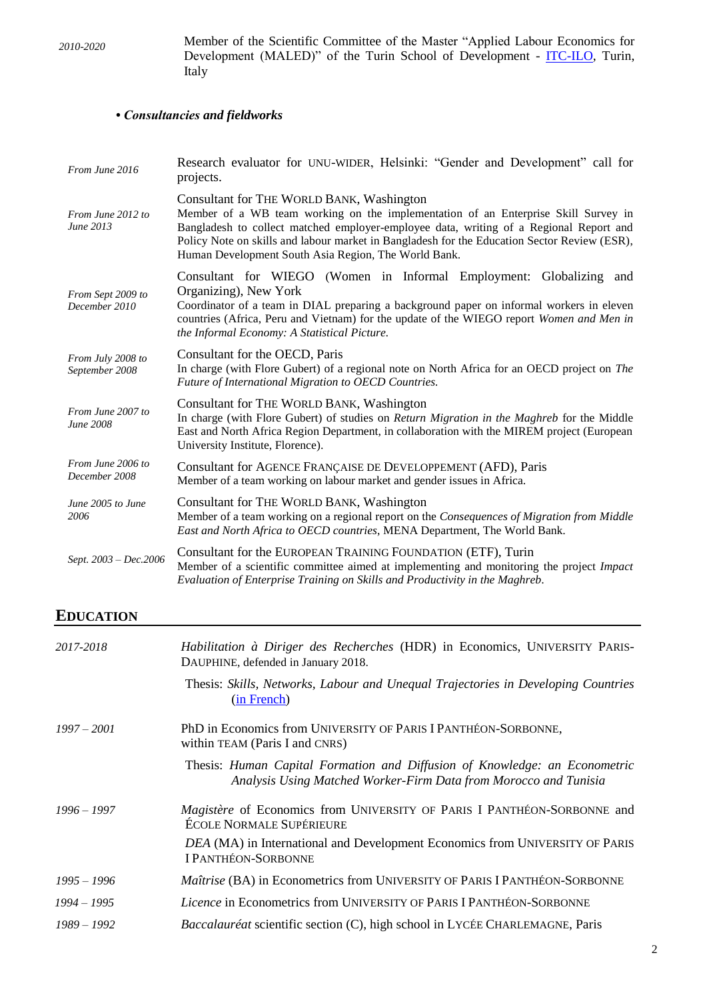*2010-2020* Member of the Scientific Committee of the Master "Applied Labour Economics for Development (MALED)" of the Turin School of Development - **ITC-ILO**, Turin, Italy

#### *• Consultancies and fieldworks*

| From June 2016                      | Research evaluator for UNU-WIDER, Helsinki: "Gender and Development" call for<br>projects.                                                                                                                                                                                                                                                                                        |  |
|-------------------------------------|-----------------------------------------------------------------------------------------------------------------------------------------------------------------------------------------------------------------------------------------------------------------------------------------------------------------------------------------------------------------------------------|--|
| From June 2012 to<br>June 2013      | Consultant for THE WORLD BANK, Washington<br>Member of a WB team working on the implementation of an Enterprise Skill Survey in<br>Bangladesh to collect matched employer-employee data, writing of a Regional Report and<br>Policy Note on skills and labour market in Bangladesh for the Education Sector Review (ESR),<br>Human Development South Asia Region, The World Bank. |  |
| From Sept 2009 to<br>December 2010  | Consultant for WIEGO (Women in Informal Employment: Globalizing and<br>Organizing), New York<br>Coordinator of a team in DIAL preparing a background paper on informal workers in eleven<br>countries (Africa, Peru and Vietnam) for the update of the WIEGO report Women and Men in<br>the Informal Economy: A Statistical Picture.                                              |  |
| From July 2008 to<br>September 2008 | Consultant for the OECD, Paris<br>In charge (with Flore Gubert) of a regional note on North Africa for an OECD project on The<br>Future of International Migration to OECD Countries.                                                                                                                                                                                             |  |
| From June 2007 to<br>June 2008      | Consultant for THE WORLD BANK, Washington<br>In charge (with Flore Gubert) of studies on Return Migration in the Maghreb for the Middle<br>East and North Africa Region Department, in collaboration with the MIREM project (European<br>University Institute, Florence).                                                                                                         |  |
| From June 2006 to<br>December 2008  | Consultant for AGENCE FRANÇAISE DE DEVELOPPEMENT (AFD), Paris<br>Member of a team working on labour market and gender issues in Africa.                                                                                                                                                                                                                                           |  |
| June 2005 to June<br>2006           | Consultant for THE WORLD BANK, Washington<br>Member of a team working on a regional report on the Consequences of Migration from Middle<br>East and North Africa to OECD countries, MENA Department, The World Bank.                                                                                                                                                              |  |
| Sept. 2003 - Dec.2006               | Consultant for the EUROPEAN TRAINING FOUNDATION (ETF), Turin<br>Member of a scientific committee aimed at implementing and monitoring the project Impact<br>Evaluation of Enterprise Training on Skills and Productivity in the Maghreb.                                                                                                                                          |  |

#### **EDUCATION**

| 2017-2018     | Habilitation à Diriger des Recherches (HDR) in Economics, UNIVERSITY PARIS-<br>DAUPHINE, defended in January 2018.                             |
|---------------|------------------------------------------------------------------------------------------------------------------------------------------------|
|               | Thesis: Skills, Networks, Labour and Unequal Trajectories in Developing Countries<br>(in French)                                               |
| $1997 - 2001$ | PhD in Economics from UNIVERSITY OF PARIS I PANTHÉON-SORBONNE,<br>within TEAM (Paris I and CNRS)                                               |
|               | Thesis: Human Capital Formation and Diffusion of Knowledge: an Econometric<br>Analysis Using Matched Worker-Firm Data from Morocco and Tunisia |
| $1996 - 1997$ | Magistère of Economics from UNIVERSITY OF PARIS I PANTHÉON-SORBONNE and<br><b>ÉCOLE NORMALE SUPÉRIEURE</b>                                     |
|               | DEA (MA) in International and Development Economics from UNIVERSITY OF PARIS<br><b>I PANTHÉON-SORBONNE</b>                                     |
| $1995 - 1996$ | <i>Maîtrise</i> (BA) in Econometrics from UNIVERSITY OF PARIS I PANTHÉON-SORBONNE                                                              |
| $1994 - 1995$ | Licence in Econometrics from UNIVERSITY OF PARIS I PANTHÉON-SORBONNE                                                                           |
| $1989 - 1992$ | <i>Baccalauréat</i> scientific section (C), high school in LYCÉE CHARLEMAGNE, Paris                                                            |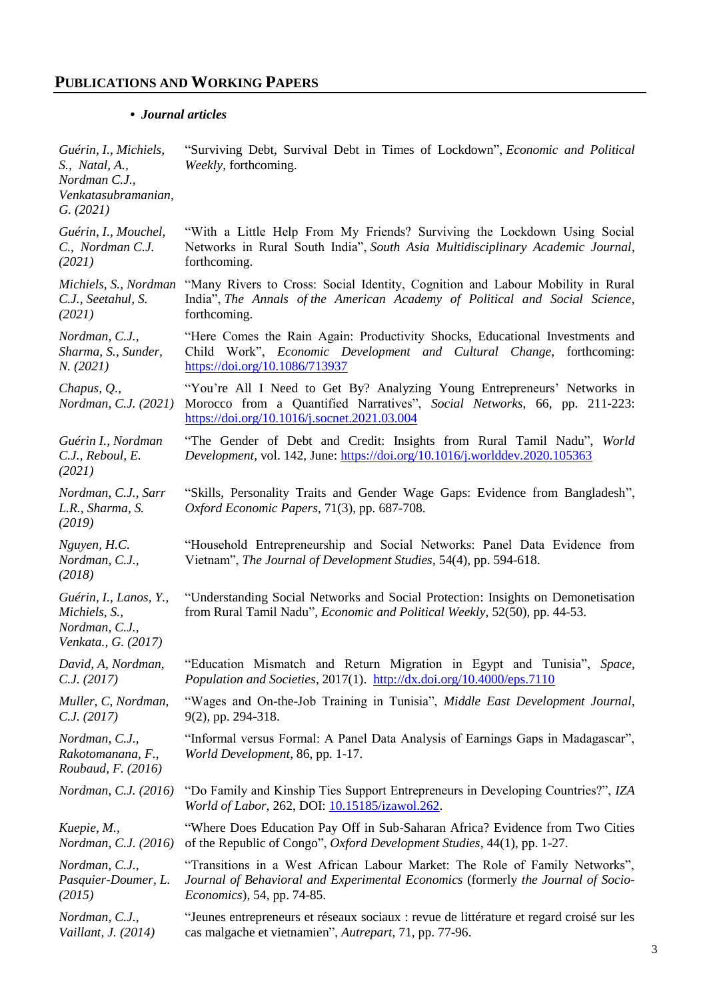## **PUBLICATIONS AND WORKING PAPERS**

### **•** *Journal articles*

| Guérin, I., Michiels,<br>S., <i>Natal</i> , <i>A.</i> ,<br>Nordman C.J.,<br>Venkatasubramanian,<br>G. (2021) | "Surviving Debt, Survival Debt in Times of Lockdown", Economic and Political<br>Weekly, forthcoming.                                                                                                 |
|--------------------------------------------------------------------------------------------------------------|------------------------------------------------------------------------------------------------------------------------------------------------------------------------------------------------------|
| Guérin, I., Mouchel,                                                                                         | "With a Little Help From My Friends? Surviving the Lockdown Using Social                                                                                                                             |
| C., Nordman C.J.                                                                                             | Networks in Rural South India", South Asia Multidisciplinary Academic Journal,                                                                                                                       |
| (2021)                                                                                                       | forthcoming.                                                                                                                                                                                         |
| Michiels, S., Nordman                                                                                        | "Many Rivers to Cross: Social Identity, Cognition and Labour Mobility in Rural                                                                                                                       |
| C.J., Seetahul, S.                                                                                           | India", The Annals of the American Academy of Political and Social Science,                                                                                                                          |
| (2021)                                                                                                       | forthcoming.                                                                                                                                                                                         |
| Nordman, C.J.,                                                                                               | "Here Comes the Rain Again: Productivity Shocks, Educational Investments and                                                                                                                         |
| Sharma, S., Sunder,                                                                                          | Child Work", <i>Economic Development and Cultural Change</i> , forthcoming:                                                                                                                          |
| N. (2021)                                                                                                    | https://doi.org/10.1086/713937                                                                                                                                                                       |
| Chapus, Q.,<br>Nordman, C.J. (2021)                                                                          | "You're All I Need to Get By? Analyzing Young Entrepreneurs' Networks in<br>Morocco from a Quantified Narratives", Social Networks, 66, pp. 211-223:<br>https://doi.org/10.1016/j.socnet.2021.03.004 |
| Guérin I., Nordman<br>C.J., Reboul, E.<br>(2021)                                                             | "The Gender of Debt and Credit: Insights from Rural Tamil Nadu", World<br>Development, vol. 142, June: https://doi.org/10.1016/j.worlddev.2020.105363                                                |
| Nordman, C.J., Sarr<br>L.R., Sharma, S.<br>(2019)                                                            | "Skills, Personality Traits and Gender Wage Gaps: Evidence from Bangladesh",<br>Oxford Economic Papers, 71(3), pp. 687-708.                                                                          |
| Nguyen, H.C.<br>Nordman, C.J.,<br>(2018)                                                                     | "Household Entrepreneurship and Social Networks: Panel Data Evidence from<br>Vietnam", The Journal of Development Studies, 54(4), pp. 594-618.                                                       |
| Guérin, I., Lanos, Y.,<br>Michiels, S.,<br>Nordman, C.J.,<br>Venkata., G. (2017)                             | "Understanding Social Networks and Social Protection: Insights on Demonetisation<br>from Rural Tamil Nadu", Economic and Political Weekly, 52(50), pp. 44-53.                                        |
| David, A, Nordman,                                                                                           | "Education Mismatch and Return Migration in Egypt and Tunisia", Space,                                                                                                                               |
| C.J. (2017)                                                                                                  | Population and Societies, 2017(1). http://dx.doi.org/10.4000/eps.7110                                                                                                                                |
| Muller, C, Nordman,                                                                                          | "Wages and On-the-Job Training in Tunisia", Middle East Development Journal,                                                                                                                         |
| C.J. (2017)                                                                                                  | $9(2)$ , pp. 294-318.                                                                                                                                                                                |
| Nordman, C.J.,<br>Rakotomanana, F.,<br>Roubaud, F. (2016)                                                    | "Informal versus Formal: A Panel Data Analysis of Earnings Gaps in Madagascar",<br>World Development, 86, pp. 1-17.                                                                                  |
| Nordman, C.J. (2016)                                                                                         | "Do Family and Kinship Ties Support Entrepreneurs in Developing Countries?", IZA<br>World of Labor, 262, DOI: 10.15185/izawol.262.                                                                   |
| Kuepie, M.,                                                                                                  | "Where Does Education Pay Off in Sub-Saharan Africa? Evidence from Two Cities                                                                                                                        |
| Nordman, C.J. (2016)                                                                                         | of the Republic of Congo", Oxford Development Studies, 44(1), pp. 1-27.                                                                                                                              |
| Nordman, C.J.,                                                                                               | "Transitions in a West African Labour Market: The Role of Family Networks",                                                                                                                          |
| Pasquier-Doumer, L.                                                                                          | Journal of Behavioral and Experimental Economics (formerly the Journal of Socio-                                                                                                                     |
| (2015)                                                                                                       | <i>Economics</i> ), 54, pp. 74-85.                                                                                                                                                                   |
| Nordman, C.J.,                                                                                               | "Jeunes entrepreneurs et réseaux sociaux : revue de littérature et regard croisé sur les                                                                                                             |
| Vaillant, J. (2014)                                                                                          | cas malgache et vietnamien", Autrepart, 71, pp. 77-96.                                                                                                                                               |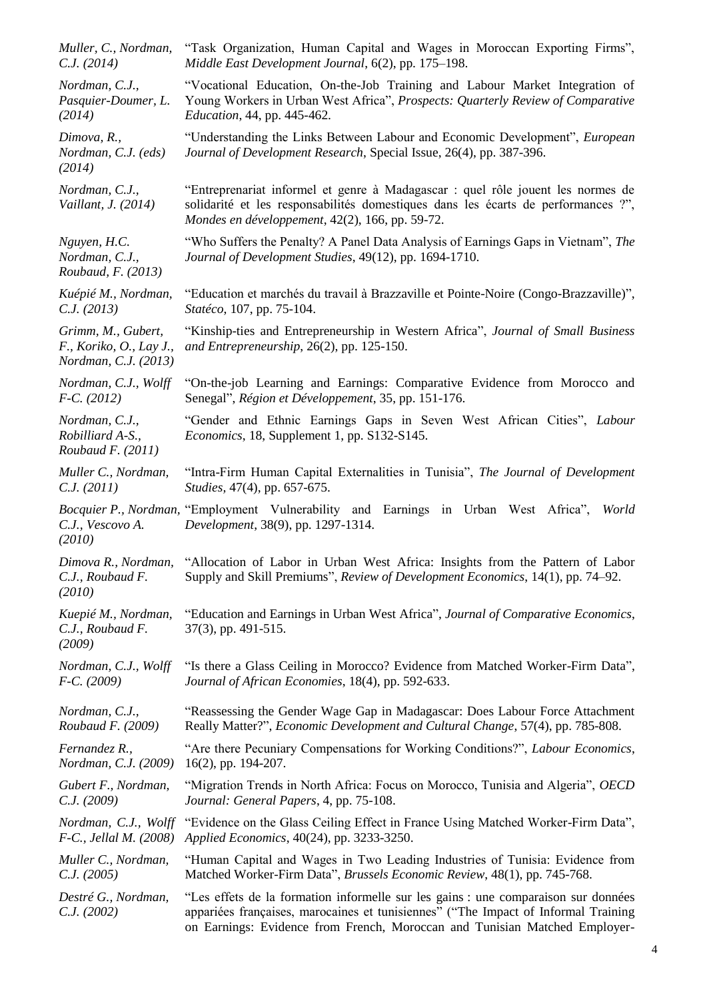| Muller, C., Nordman,                                                  | "Task Organization, Human Capital and Wages in Moroccan Exporting Firms",                                                                                                                                                                              |  |
|-----------------------------------------------------------------------|--------------------------------------------------------------------------------------------------------------------------------------------------------------------------------------------------------------------------------------------------------|--|
| C.J. (2014)                                                           | Middle East Development Journal, 6(2), pp. 175-198.                                                                                                                                                                                                    |  |
| Nordman, C.J.,                                                        | "Vocational Education, On-the-Job Training and Labour Market Integration of                                                                                                                                                                            |  |
| Pasquier-Doumer, L.                                                   | Young Workers in Urban West Africa", Prospects: Quarterly Review of Comparative                                                                                                                                                                        |  |
| (2014)                                                                | <i>Education</i> , 44, pp. 445-462.                                                                                                                                                                                                                    |  |
| Dimova, R.,<br>Nordman, C.J. (eds)<br>(2014)                          | "Understanding the Links Between Labour and Economic Development", <i>European</i><br>Journal of Development Research, Special Issue, 26(4), pp. 387-396.                                                                                              |  |
| Nordman, C.J.,<br>Vaillant, J. (2014)                                 | "Entreprenariat informel et genre à Madagascar : quel rôle jouent les normes de<br>solidarité et les responsabilités domestiques dans les écarts de performances ?",<br>Mondes en développement, 42(2), 166, pp. 59-72.                                |  |
| Nguyen, H.C.<br>Nordman, C.J.,<br>Roubaud, F. (2013)                  | "Who Suffers the Penalty? A Panel Data Analysis of Earnings Gaps in Vietnam", The<br>Journal of Development Studies, 49(12), pp. 1694-1710.                                                                                                            |  |
| Kuépié M., Nordman,                                                   | "Education et marchés du travail à Brazzaville et Pointe-Noire (Congo-Brazzaville)",                                                                                                                                                                   |  |
| C.J. (2013)                                                           | Statéco, 107, pp. 75-104.                                                                                                                                                                                                                              |  |
| Grimm, M., Gubert,<br>F., Koriko, O., Lay J.,<br>Nordman, C.J. (2013) | "Kinship-ties and Entrepreneurship in Western Africa", Journal of Small Business<br>and Entrepreneurship, 26(2), pp. 125-150.                                                                                                                          |  |
| Nordman, C.J., Wolff                                                  | "On-the-job Learning and Earnings: Comparative Evidence from Morocco and                                                                                                                                                                               |  |
| $F-C. (2012)$                                                         | Senegal", Région et Développement, 35, pp. 151-176.                                                                                                                                                                                                    |  |
| Nordman, C.J.,<br>Robilliard A-S.,<br>Roubaud F. $(2011)$             | "Gender and Ethnic Earnings Gaps in Seven West African Cities", Labour<br>Economics, 18, Supplement 1, pp. S132-S145.                                                                                                                                  |  |
| Muller C., Nordman,                                                   | "Intra-Firm Human Capital Externalities in Tunisia", The Journal of Development                                                                                                                                                                        |  |
| C.J. (2011)                                                           | Studies, 47(4), pp. 657-675.                                                                                                                                                                                                                           |  |
| C.J., Vescovo A.<br>(2010)                                            | <i>Bocquier P., Nordman,</i> "Employment Vulnerability and Earnings in Urban West Africa",<br>World<br>Development, 38(9), pp. 1297-1314.                                                                                                              |  |
| Dimova R., Nordman,<br>C.J., Roubaud F.<br>(2010)                     | "Allocation of Labor in Urban West Africa: Insights from the Pattern of Labor<br>Supply and Skill Premiums", Review of Development Economics, 14(1), pp. 74-92.                                                                                        |  |
| Kuepié M., Nordman,<br>C.J., Roubaud F.<br>(2009)                     | "Education and Earnings in Urban West Africa", Journal of Comparative Economics,<br>37(3), pp. 491-515.                                                                                                                                                |  |
| Nordman, C.J., Wolff                                                  | "Is there a Glass Ceiling in Morocco? Evidence from Matched Worker-Firm Data",                                                                                                                                                                         |  |
| $F-C. (2009)$                                                         | Journal of African Economies, 18(4), pp. 592-633.                                                                                                                                                                                                      |  |
| Nordman, C.J.,                                                        | "Reassessing the Gender Wage Gap in Madagascar: Does Labour Force Attachment                                                                                                                                                                           |  |
| Roubaud F. (2009)                                                     | Really Matter?", Economic Development and Cultural Change, 57(4), pp. 785-808.                                                                                                                                                                         |  |
| Fernandez R.,                                                         | "Are there Pecuniary Compensations for Working Conditions?", Labour Economics,                                                                                                                                                                         |  |
| Nordman, C.J. (2009)                                                  | $16(2)$ , pp. 194-207.                                                                                                                                                                                                                                 |  |
| Gubert F., Nordman,                                                   | "Migration Trends in North Africa: Focus on Morocco, Tunisia and Algeria", <i>OECD</i>                                                                                                                                                                 |  |
| C.J. (2009)                                                           | Journal: General Papers, 4, pp. 75-108.                                                                                                                                                                                                                |  |
| Nordman, C.J., Wolff                                                  | "Evidence on the Glass Ceiling Effect in France Using Matched Worker-Firm Data",                                                                                                                                                                       |  |
| $F-C.,$ Jellal M. (2008)                                              | Applied Economics, 40(24), pp. 3233-3250.                                                                                                                                                                                                              |  |
| Muller C., Nordman,                                                   | "Human Capital and Wages in Two Leading Industries of Tunisia: Evidence from                                                                                                                                                                           |  |
| C.J. (2005)                                                           | Matched Worker-Firm Data", Brussels Economic Review, 48(1), pp. 745-768.                                                                                                                                                                               |  |
| Destré G., Nordman,<br>C.J. (2002)                                    | "Les effets de la formation informelle sur les gains : une comparaison sur données<br>appariées françaises, marocaines et tunisiennes" ("The Impact of Informal Training<br>on Earnings: Evidence from French, Moroccan and Tunisian Matched Employer- |  |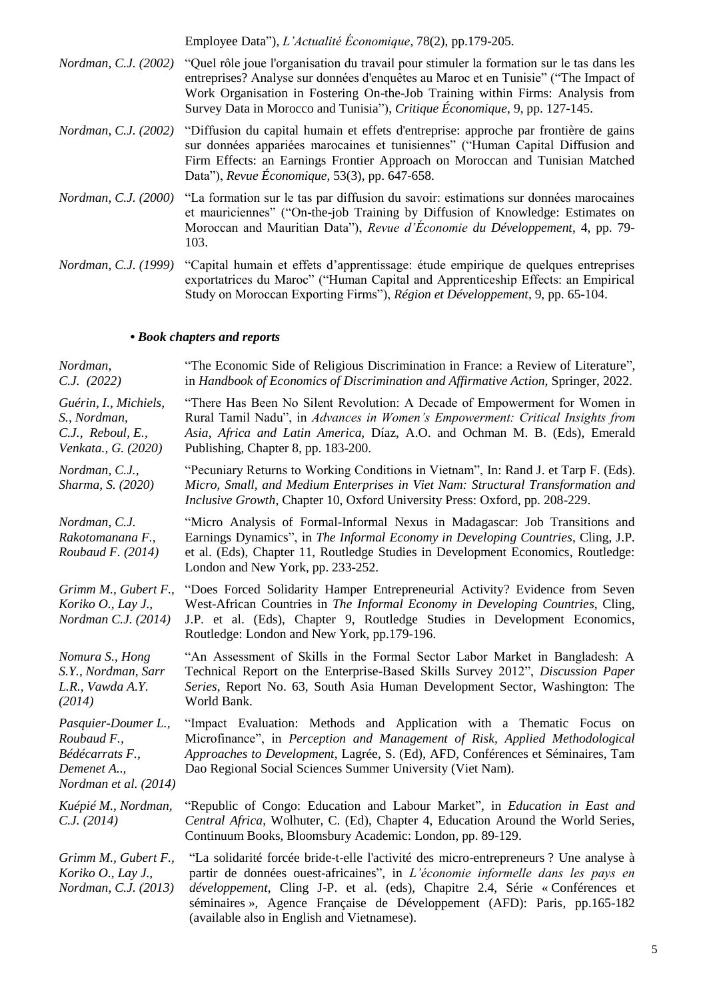|                             | Employee Data"), L'Actualité Economique, 78(2), pp.179-205.                                                                                                                                                                                                                                                                                                                 |
|-----------------------------|-----------------------------------------------------------------------------------------------------------------------------------------------------------------------------------------------------------------------------------------------------------------------------------------------------------------------------------------------------------------------------|
|                             | <i>Nordman, C.J. (2002)</i> "Quel rôle joue l'organisation du travail pour stimuler la formation sur le tas dans les<br>entreprises? Analyse sur données d'enquêtes au Maroc et en Tunisie" ("The Impact of<br>Work Organisation in Fostering On-the-Job Training within Firms: Analysis from<br>Survey Data in Morocco and Tunisia"), Critique Économique, 9, pp. 127-145. |
|                             | <i>Nordman, C.J.</i> (2002) "Diffusion du capital humain et effets d'entreprise: approche par frontière de gains<br>sur données appariées marocaines et tunisiennes" ("Human Capital Diffusion and<br>Firm Effects: an Earnings Frontier Approach on Moroccan and Tunisian Matched<br>Data"), Revue Économique, 53(3), pp. 647-658.                                         |
|                             | <i>Nordman, C.J. (2000)</i> "La formation sur le tas par diffusion du savoir: estimations sur données marocaines<br>et mauriciennes" ("On-the-job Training by Diffusion of Knowledge: Estimates on<br>Moroccan and Mauritian Data"), Revue d'Économie du Développement, 4, pp. 79-<br>103.                                                                                  |
| <i>Nordman, C.J.</i> (1999) | "Capital humain et effets d'apprentissage: étude empirique de quelques entreprises<br>exportatrices du Maroc" ("Human Capital and Apprenticeship Effects: an Empirical<br>Study on Moroccan Exporting Firms"), Région et Développement, 9, pp. 65-104.                                                                                                                      |

### **•** *Book chapters and reports*

| Nordman,<br>C.J. (2022)                                                                      | "The Economic Side of Religious Discrimination in France: a Review of Literature",<br>in Handbook of Economics of Discrimination and Affirmative Action, Springer, 2022.                                                                                                                                                                                                           |  |
|----------------------------------------------------------------------------------------------|------------------------------------------------------------------------------------------------------------------------------------------------------------------------------------------------------------------------------------------------------------------------------------------------------------------------------------------------------------------------------------|--|
| Guérin, I., Michiels,<br>S., Nordman,<br>C.J., Reboul, E.,<br>Venkata., G. (2020)            | "There Has Been No Silent Revolution: A Decade of Empowerment for Women in<br>Rural Tamil Nadu", in Advances in Women's Empowerment: Critical Insights from<br>Asia, Africa and Latin America, Díaz, A.O. and Ochman M. B. (Eds), Emerald<br>Publishing, Chapter 8, pp. 183-200.                                                                                                   |  |
| Nordman, C.J.,<br>Sharma, S. (2020)                                                          | "Pecuniary Returns to Working Conditions in Vietnam", In: Rand J. et Tarp F. (Eds).<br>Micro, Small, and Medium Enterprises in Viet Nam: Structural Transformation and<br>Inclusive Growth, Chapter 10, Oxford University Press: Oxford, pp. 208-229.                                                                                                                              |  |
| Nordman, C.J.<br>Rakotomanana F.,<br>Roubaud F. (2014)                                       | "Micro Analysis of Formal-Informal Nexus in Madagascar: Job Transitions and<br>Earnings Dynamics", in The Informal Economy in Developing Countries, Cling, J.P.<br>et al. (Eds), Chapter 11, Routledge Studies in Development Economics, Routledge:<br>London and New York, pp. 233-252.                                                                                           |  |
| Grimm M., Gubert F.,<br>Koriko O., Lay J.,<br>Nordman C.J. (2014)                            | "Does Forced Solidarity Hamper Entrepreneurial Activity? Evidence from Seven<br>West-African Countries in The Informal Economy in Developing Countries, Cling,<br>J.P. et al. (Eds), Chapter 9, Routledge Studies in Development Economics,<br>Routledge: London and New York, pp.179-196.                                                                                         |  |
| Nomura S., Hong<br>S.Y., Nordman, Sarr<br>L.R., Vawda A.Y.<br>(2014)                         | "An Assessment of Skills in the Formal Sector Labor Market in Bangladesh: A<br>Technical Report on the Enterprise-Based Skills Survey 2012", Discussion Paper<br>Series, Report No. 63, South Asia Human Development Sector, Washington: The<br>World Bank.                                                                                                                        |  |
| Pasquier-Doumer L.,<br>Roubaud F.,<br>Bédécarrats F.,<br>Demenet A,<br>Nordman et al. (2014) | "Impact Evaluation: Methods and Application with a Thematic Focus on<br>Microfinance", in Perception and Management of Risk, Applied Methodological<br>Approaches to Development, Lagrée, S. (Ed), AFD, Conférences et Séminaires, Tam<br>Dao Regional Social Sciences Summer University (Viet Nam).                                                                               |  |
| Kuépié M., Nordman,<br>C.J. (2014)                                                           | "Republic of Congo: Education and Labour Market", in <i>Education in East and</i><br>Central Africa, Wolhuter, C. (Ed), Chapter 4, Education Around the World Series,<br>Continuum Books, Bloomsbury Academic: London, pp. 89-129.                                                                                                                                                 |  |
| Grimm M., Gubert F.,<br>Koriko O., Lay J.,<br>Nordman, C.J. (2013)                           | "La solidarité forcée bride-t-elle l'activité des micro-entrepreneurs ? Une analyse à<br>partir de données ouest-africaines", in L'économie informelle dans les pays en<br>développement, Cling J-P. et al. (eds), Chapitre 2.4, Série « Conférences et<br>séminaires », Agence Française de Développement (AFD): Paris, pp.165-182<br>(available also in English and Vietnamese). |  |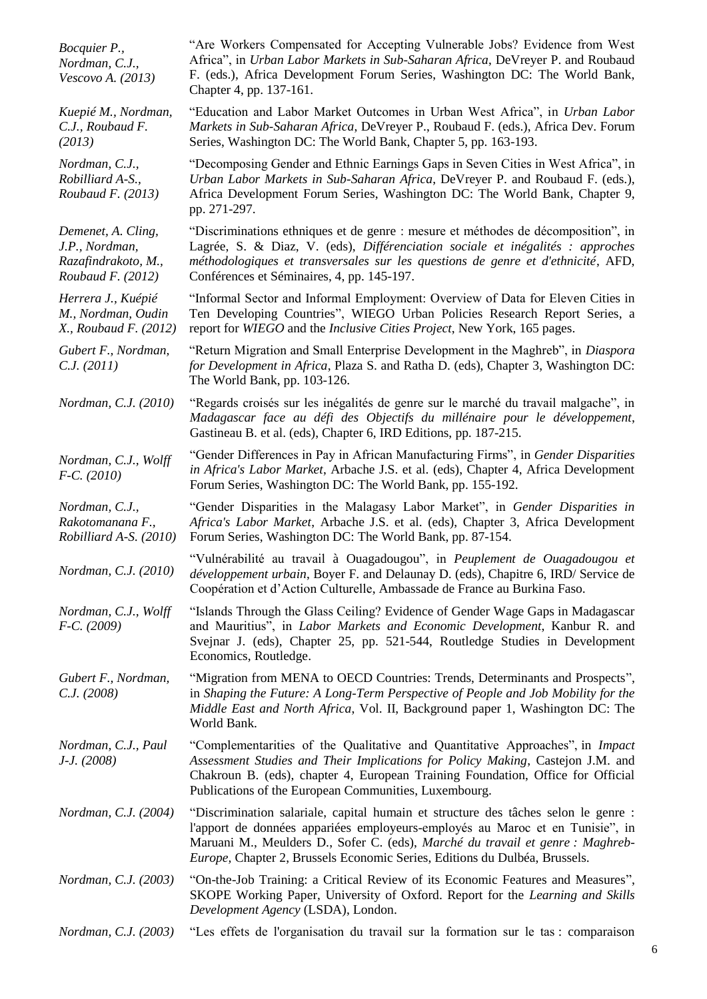| Bocquier P.,<br>Nordman, C.J.,<br>Vescovo A. (2013)                                | "Are Workers Compensated for Accepting Vulnerable Jobs? Evidence from West<br>Africa", in Urban Labor Markets in Sub-Saharan Africa, DeVreyer P. and Roubaud<br>F. (eds.), Africa Development Forum Series, Washington DC: The World Bank,<br>Chapter 4, pp. 137-161.                                                               |
|------------------------------------------------------------------------------------|-------------------------------------------------------------------------------------------------------------------------------------------------------------------------------------------------------------------------------------------------------------------------------------------------------------------------------------|
| Kuepié M., Nordman,<br>C.J., Roubaud F.<br>(2013)                                  | "Education and Labor Market Outcomes in Urban West Africa", in Urban Labor<br>Markets in Sub-Saharan Africa, DeVreyer P., Roubaud F. (eds.), Africa Dev. Forum<br>Series, Washington DC: The World Bank, Chapter 5, pp. 163-193.                                                                                                    |
| Nordman, C.J.,<br>Robilliard A-S.,<br>Roubaud F. (2013)                            | "Decomposing Gender and Ethnic Earnings Gaps in Seven Cities in West Africa", in<br>Urban Labor Markets in Sub-Saharan Africa, DeVreyer P. and Roubaud F. (eds.),<br>Africa Development Forum Series, Washington DC: The World Bank, Chapter 9,<br>pp. 271-297.                                                                     |
| Demenet, A. Cling,<br>J.P., Nordman,<br>Razafindrakoto, M.,<br>Roubaud F. $(2012)$ | "Discriminations ethniques et de genre : mesure et méthodes de décomposition", in<br>Lagrée, S. & Diaz, V. (eds), Différenciation sociale et inégalités : approches<br>méthodologiques et transversales sur les questions de genre et d'ethnicité, AFD,<br>Conférences et Séminaires, 4, pp. 145-197.                               |
| Herrera J., Kuépié<br>M., Nordman, Oudin<br>X., Roubaud F. (2012)                  | "Informal Sector and Informal Employment: Overview of Data for Eleven Cities in<br>Ten Developing Countries", WIEGO Urban Policies Research Report Series, a<br>report for WIEGO and the Inclusive Cities Project, New York, 165 pages.                                                                                             |
| Gubert F., Nordman,<br>C.J. (2011)                                                 | "Return Migration and Small Enterprise Development in the Maghreb", in Diaspora<br>for Development in Africa, Plaza S. and Ratha D. (eds), Chapter 3, Washington DC:<br>The World Bank, pp. 103-126.                                                                                                                                |
| Nordman, C.J. (2010)                                                               | "Regards croisés sur les inégalités de genre sur le marché du travail malgache", in<br>Madagascar face au défi des Objectifs du millénaire pour le développement,<br>Gastineau B. et al. (eds), Chapter 6, IRD Editions, pp. 187-215.                                                                                               |
| Nordman, C.J., Wolff<br>$F-C. (2010)$                                              | "Gender Differences in Pay in African Manufacturing Firms", in Gender Disparities<br>in Africa's Labor Market, Arbache J.S. et al. (eds), Chapter 4, Africa Development<br>Forum Series, Washington DC: The World Bank, pp. 155-192.                                                                                                |
| Nordman, C.J.,<br>Rakotomanana F.,<br>Robilliard A-S. (2010)                       | "Gender Disparities in the Malagasy Labor Market", in Gender Disparities in<br>Africa's Labor Market, Arbache J.S. et al. (eds), Chapter 3, Africa Development<br>Forum Series, Washington DC: The World Bank, pp. 87-154.                                                                                                          |
| Nordman, C.J. (2010)                                                               | "Vulnérabilité au travail à Ouagadougou", in Peuplement de Ouagadougou et<br><i>développement urbain</i> , Boyer F. and Delaunay D. (eds), Chapitre 6, IRD/ Service de<br>Coopération et d'Action Culturelle, Ambassade de France au Burkina Faso.                                                                                  |
| Nordman, C.J., Wolff<br>$F-C. (2009)$                                              | "Islands Through the Glass Ceiling? Evidence of Gender Wage Gaps in Madagascar<br>and Mauritius", in Labor Markets and Economic Development, Kanbur R. and<br>Svejnar J. (eds), Chapter 25, pp. 521-544, Routledge Studies in Development<br>Economics, Routledge.                                                                  |
| Gubert F., Nordman,<br>C.J. (2008)                                                 | "Migration from MENA to OECD Countries: Trends, Determinants and Prospects",<br>in Shaping the Future: A Long-Term Perspective of People and Job Mobility for the<br>Middle East and North Africa, Vol. II, Background paper 1, Washington DC: The<br>World Bank.                                                                   |
| Nordman, C.J., Paul<br>$J-J. (2008)$                                               | "Complementarities of the Qualitative and Quantitative Approaches", in <i>Impact</i><br>Assessment Studies and Their Implications for Policy Making, Castejon J.M. and<br>Chakroun B. (eds), chapter 4, European Training Foundation, Office for Official<br>Publications of the European Communities, Luxembourg.                  |
| Nordman, C.J. (2004)                                                               | "Discrimination salariale, capital humain et structure des tâches selon le genre :<br>l'apport de données appariées employeurs-employés au Maroc et en Tunisie", in<br>Maruani M., Meulders D., Sofer C. (eds), Marché du travail et genre : Maghreb-<br>Europe, Chapter 2, Brussels Economic Series, Editions du Dulbéa, Brussels. |
| Nordman, C.J. (2003)                                                               | "On-the-Job Training: a Critical Review of its Economic Features and Measures",<br>SKOPE Working Paper, University of Oxford. Report for the Learning and Skills<br>Development Agency (LSDA), London.                                                                                                                              |
| Nordman, C.J. (2003)                                                               | "Les effets de l'organisation du travail sur la formation sur le tas : comparaison                                                                                                                                                                                                                                                  |